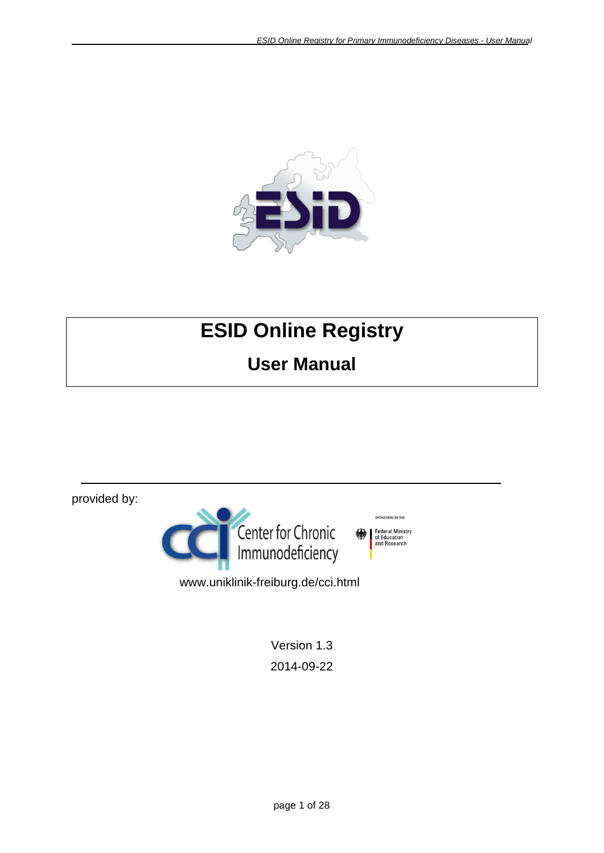SPONSORED BY THE

Federal Ministry<br>of Education<br>and Research



# **ESID Online Registry**

# **User Manual**

provided by:



www.uniklinik-freiburg.de/cci.html

Version 1.3 2014-09-22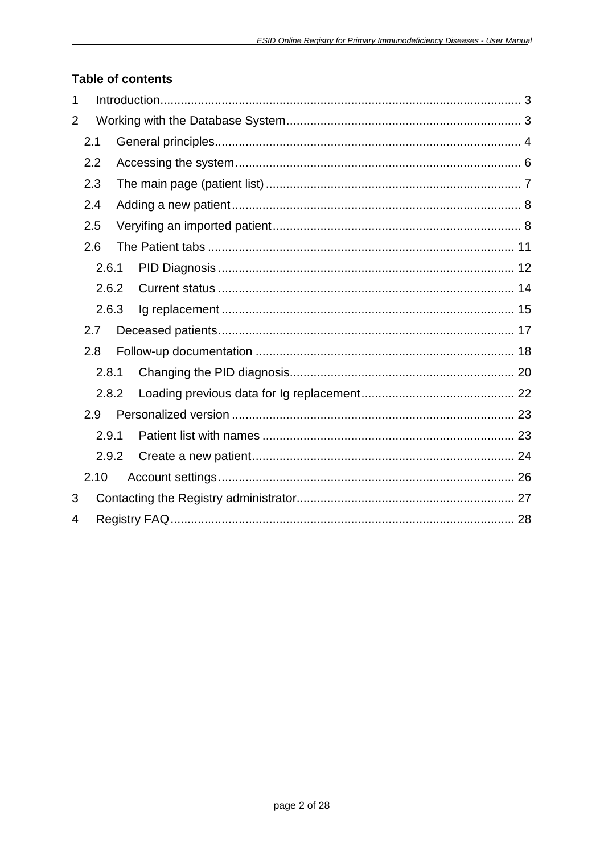### **Table of contents**

| 1              |      |       |  |  |
|----------------|------|-------|--|--|
| $\overline{2}$ |      |       |  |  |
|                | 2.1  |       |  |  |
|                | 2.2  |       |  |  |
|                | 2.3  |       |  |  |
|                | 2.4  |       |  |  |
|                | 2.5  |       |  |  |
|                | 2.6  |       |  |  |
|                |      | 2.6.1 |  |  |
|                |      | 2.6.2 |  |  |
|                |      | 2.6.3 |  |  |
|                | 2.7  |       |  |  |
|                | 2.8  |       |  |  |
|                |      | 2.8.1 |  |  |
|                |      | 2.8.2 |  |  |
|                | 2.9  |       |  |  |
|                |      | 2.9.1 |  |  |
|                |      | 2.9.2 |  |  |
|                | 2.10 |       |  |  |
| 3              |      |       |  |  |
| 4              |      |       |  |  |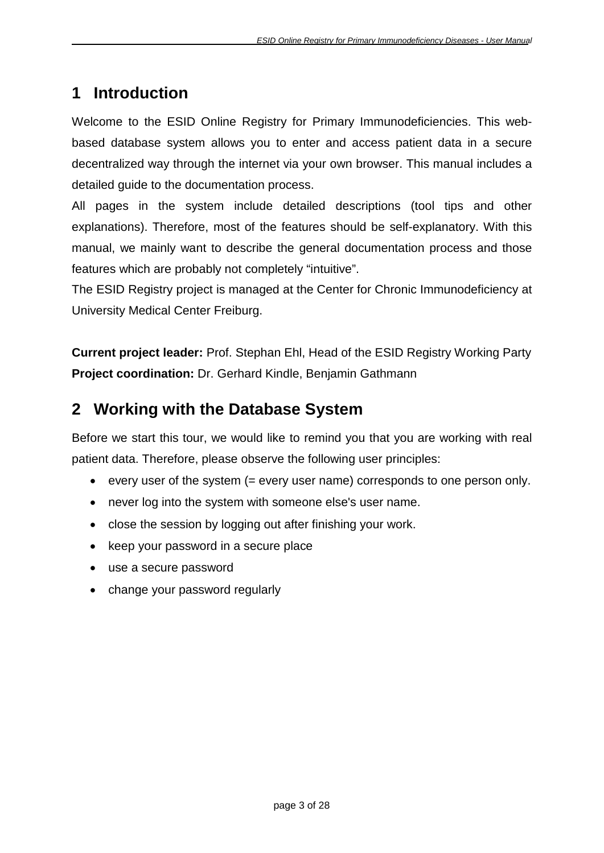# <span id="page-2-0"></span>**1 Introduction**

Welcome to the ESID Online Registry for Primary Immunodeficiencies. This webbased database system allows you to enter and access patient data in a secure decentralized way through the internet via your own browser. This manual includes a detailed guide to the documentation process.

All pages in the system include detailed descriptions (tool tips and other explanations). Therefore, most of the features should be self-explanatory. With this manual, we mainly want to describe the general documentation process and those features which are probably not completely "intuitive".

The ESID Registry project is managed at the Center for Chronic Immunodeficiency at University Medical Center Freiburg.

**Current project leader:** Prof. Stephan Ehl, Head of the ESID Registry Working Party **Project coordination:** Dr. Gerhard Kindle, Benjamin Gathmann

# <span id="page-2-1"></span>**2 Working with the Database System**

Before we start this tour, we would like to remind you that you are working with real patient data. Therefore, please observe the following user principles:

- every user of the system (= every user name) corresponds to one person only.
- never log into the system with someone else's user name.
- close the session by logging out after finishing your work.
- keep your password in a secure place
- use a secure password
- change your password regularly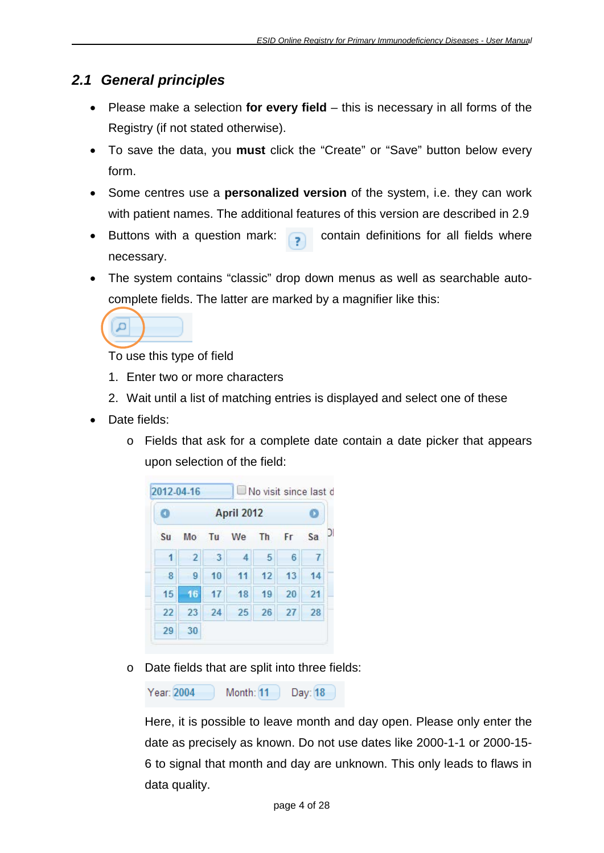# <span id="page-3-0"></span>*2.1 General principles*

- Please make a selection **for every field** this is necessary in all forms of the Registry (if not stated otherwise).
- To save the data, you **must** click the "Create" or "Save" button below every form.
- Some centres use a **personalized version** of the system, i.e. they can work with patient names. The additional features of this version are described in [2.9](#page-22-0)
- Buttons with a question mark:  $\Box$  contain definitions for all fields where necessary.
- The system contains "classic" drop down menus as well as searchable autocomplete fields. The latter are marked by a magnifier like this:



To use this type of field

- 1. Enter two or more characters
- 2. Wait until a list of matching entries is displayed and select one of these
- Date fields:
	- o Fields that ask for a complete date contain a date picker that appears upon selection of the field:

|    |           |    | <b>April 2012</b> |                         |                |    |
|----|-----------|----|-------------------|-------------------------|----------------|----|
| Sa | <b>Fr</b> | Th | We                | Tu                      | Mo             | Su |
| 7  | 6         | 5  | 4                 | $\overline{\mathbf{3}}$ | $\overline{2}$ | 1  |
| 14 | 13        | 12 | 11                | 10                      | 9              | 8  |
| 21 | 20        | 19 | 18                | 17                      | 16             | 15 |
| 28 | 27        | 26 | 25                | 24                      | 23             | 22 |
|    |           |    |                   |                         | 30             | 29 |

o Date fields that are split into three fields:

Year: 2004 Month:  $11$ Day: 18

Here, it is possible to leave month and day open. Please only enter the date as precisely as known. Do not use dates like 2000-1-1 or 2000-15- 6 to signal that month and day are unknown. This only leads to flaws in data quality.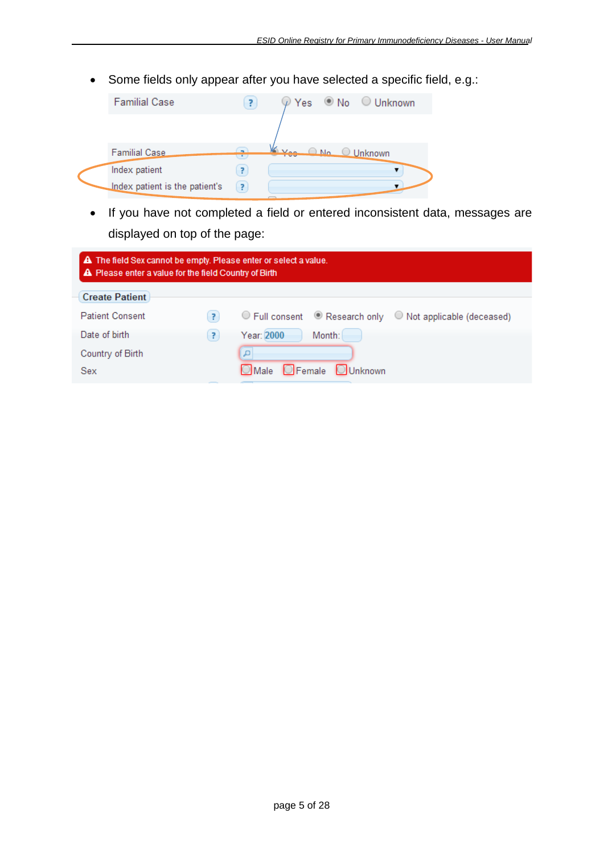• Some fields only appear after you have selected a specific field, e.g.:

| <b>Familial Case</b>           | 7                        |                 | $\mathcal{P}$ Yes $\bullet$ No $\circ$ Unknown |
|--------------------------------|--------------------------|-----------------|------------------------------------------------|
|                                |                          |                 |                                                |
| <b>Familial Case</b>           | $\overline{\phantom{a}}$ | Ves ONO Unknown |                                                |
| Index patient                  | 7                        |                 |                                                |
| Index patient is the patient's | P.                       |                 |                                                |

• If you have not completed a field or entered inconsistent data, messages are displayed on top of the page:

| A The field Sex cannot be empty. Please enter or select a value.<br>A Please enter a value for the field Country of Birth |   |                                                                |  |  |  |  |  |
|---------------------------------------------------------------------------------------------------------------------------|---|----------------------------------------------------------------|--|--|--|--|--|
| <b>Create Patient</b>                                                                                                     |   |                                                                |  |  |  |  |  |
| <b>Patient Consent</b>                                                                                                    | 7 | ◯ Full consent  In Research only  ID Not applicable (deceased) |  |  |  |  |  |
| Date of birth                                                                                                             | 7 | Year: 2000<br>Month:                                           |  |  |  |  |  |
| Country of Birth                                                                                                          |   | م ا                                                            |  |  |  |  |  |
| Sex                                                                                                                       |   | Male Female Unknown                                            |  |  |  |  |  |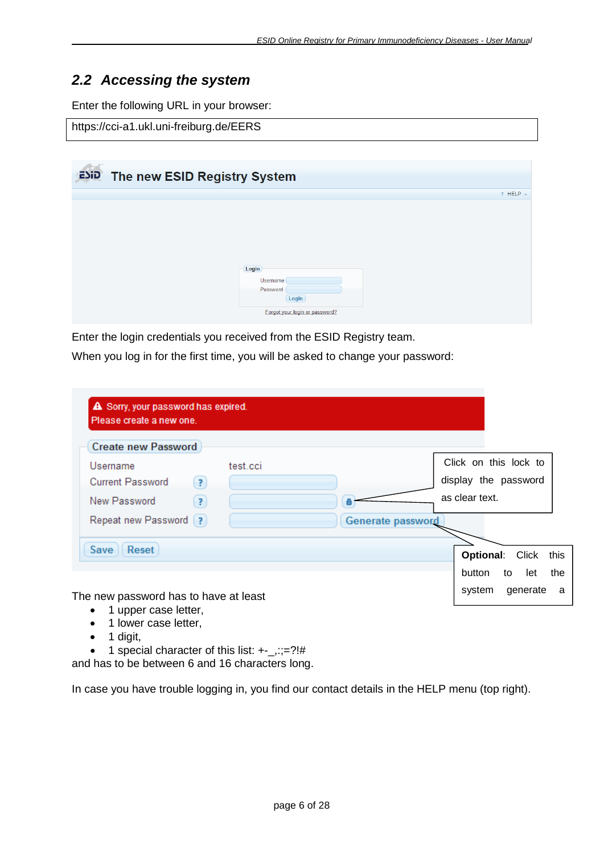## <span id="page-5-0"></span>*2.2 Accessing the system*

Enter the following URL in your browser:

#### https://cci-a1.ukl.uni-freiburg.de/EERS

| ESID The new ESID Registry System |                                                                          |                 |
|-----------------------------------|--------------------------------------------------------------------------|-----------------|
|                                   |                                                                          | $?$ HELP $\vee$ |
|                                   | Login<br>Username<br>Password<br>Login<br>Forgot your login or password? |                 |

Enter the login credentials you received from the ESID Registry team.

When you log in for the first time, you will be asked to change your password:

| <b>Create new Password</b>   |          |                          |                        |      |
|------------------------------|----------|--------------------------|------------------------|------|
| Username                     | test.cci |                          | Click on this lock to  |      |
| <b>Current Password</b><br>3 |          |                          | display the password   |      |
| New Password<br>Ŗ.           |          |                          | as clear text.         |      |
| Repeat new Password [?]      |          | <b>Generate password</b> |                        |      |
|                              |          |                          |                        |      |
| Reset<br>Save                |          |                          | <b>Optional: Click</b> | this |

- 1 upper case letter,
- 1 lower case letter,
- $\bullet$  1 digit,
- 1 special character of this list:  $+ ::=?!#$

and has to be between 6 and 16 characters long.

In case you have trouble logging in, you find our contact details in the HELP menu (top right).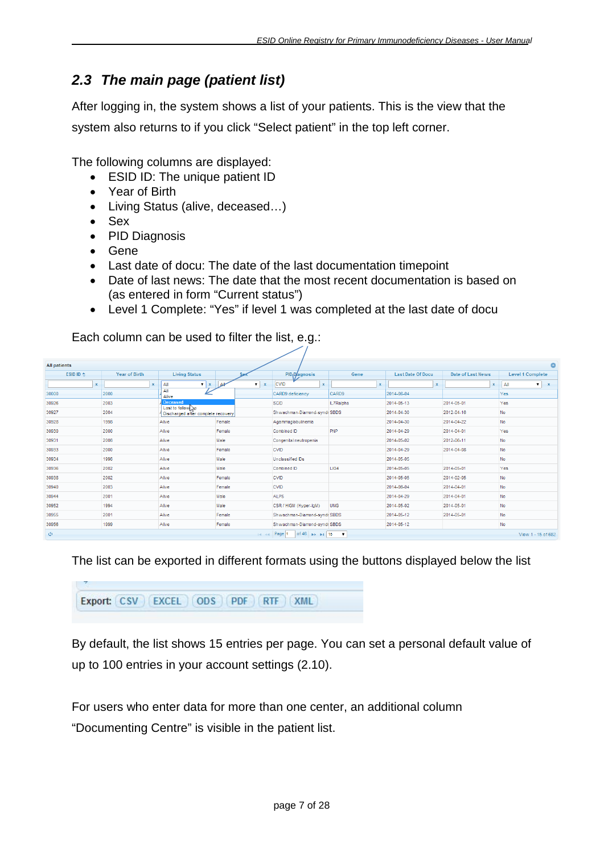# <span id="page-6-0"></span>*2.3 The main page (patient list)*

After logging in, the system shows a list of your patients. This is the view that the system also returns to if you click "Select patient" in the top left corner.

The following columns are displayed:

- ESID ID: The unique patient ID
- Year of Birth
- Living Status (alive, deceased…)
- Sex
- PID Diagnosis
- Gene
- Last date of docu: The date of the last documentation timepoint
- Date of last news: The date that the most recent documentation is based on (as entered in form "Current status")
- Level 1 Complete: "Yes" if level 1 was completed at the last date of docu

Each column can be used to filter the list, e.g.:

| <b>All patients</b> |                      |                                                        |                                           |                                                          |             |                           |                   | ٥                                |
|---------------------|----------------------|--------------------------------------------------------|-------------------------------------------|----------------------------------------------------------|-------------|---------------------------|-------------------|----------------------------------|
| ESID ID $\triangle$ | <b>Year of Birth</b> | <b>Living Status</b>                                   |                                           | PID <sub>1</sub> D/agnosis                               | Gene        | <b>Last Date Of Docu</b>  | Date of Last News | <b>Level 1 Complete</b>          |
| $\mathbf x$         | $\mathbf x$          | All<br>$\mathbf{v}$ $\mathbf{x}$                       | <b>All</b><br>$\mathbf{v}$<br>$\mathbf x$ | <b>CVID</b><br>$\mathbf x$                               | $\mathbf x$ | $\boldsymbol{\mathsf{x}}$ | $\mathbf x$       | All<br>$\mathbf{v}$ $\mathbf{x}$ |
| 30000               | 2000                 | ΔIΙ<br>Alive                                           |                                           | CARD9 deficiency                                         | CARD9       | 2014-06-04                |                   | Yes                              |
| 30926               | 2003                 | Deceased                                               |                                           | <b>SCID</b>                                              | IL7Ralpha   | 2014-05-13                | 2014-05-01        | Yes                              |
| 30927               | 2004                 | Lost to follow<br>4 Discharged after complete recovery |                                           | Shwachman-Diamond-syndr SBDS                             |             | 2014-04-30                | 2012-04-16        | No                               |
| 30928               | 1998                 | Alive                                                  | Female                                    | Agammaglobulinemia                                       |             | 2014-04-30                | 2014-04-22        | No                               |
| 30930               | 2000                 | Alive                                                  | Female                                    | Combined ID                                              | PNP         | 2014-04-29                | 2014-04-01        | Yes                              |
| 30931               | 2006                 | Alive                                                  | Male                                      | Congenital neutropenia                                   |             | 2014-05-02                | 2012-06-11        | No                               |
| 30933               | 2000                 | Alive                                                  | Female                                    | <b>CVID</b>                                              |             | 2014-04-29                | 2014-04-08        | No                               |
| 30934               | 1996                 | Alive                                                  | Male                                      | Unclassified IDs                                         |             | 2014-05-05                |                   | No                               |
| 30936               | 2002                 | Alive                                                  | Male                                      | Combined ID                                              | LIG4        | 2014-05-05                | 2014-05-01        | Yes                              |
| 30938               | 2002                 | Alive                                                  | Female                                    | <b>CVID</b>                                              |             | 2014-05-05                | 2014-02-05        | No                               |
| 30940               | 2003                 | Alive                                                  | Female                                    | <b>CVID</b>                                              |             | 2014-06-04                | 2014-04-01        | No                               |
| 30944               | 2001                 | Alive                                                  | Male                                      | <b>ALPS</b>                                              |             | 2014-04-29                | 2014-04-01        | No                               |
| 30952               | 1994                 | Alive                                                  | Male                                      | CSR / HIGM (Hyper-lgM)                                   | <b>UNG</b>  | 2014-05-02                | 2014-05-01        | No                               |
| 30955               | 2001                 | Alive                                                  | Female                                    | Shwachman-Diamond-syndr SBDS                             |             | 2014-05-12                | 2014-05-01        | No                               |
| 30956               | 1999                 | Alive                                                  | Female                                    | Shwachman-Diamond-syndr SBDS                             |             | 2014-05-12                |                   | No                               |
| φ                   |                      |                                                        | $-4 - 4$                                  | of 46 $\Rightarrow$ $\Rightarrow$ 15 $\bullet$<br>Page 1 |             |                           |                   | View 1 - 15 of 682               |

The list can be exported in different formats using the buttons displayed below the list

```
Export: CSV EXCEL ODS PDF RTF XML
```
By default, the list shows 15 entries per page. You can set a personal default value of up to 100 entries in your account settings [\(2.10\)](#page-25-0).

For users who enter data for more than one center, an additional column "Documenting Centre" is visible in the patient list.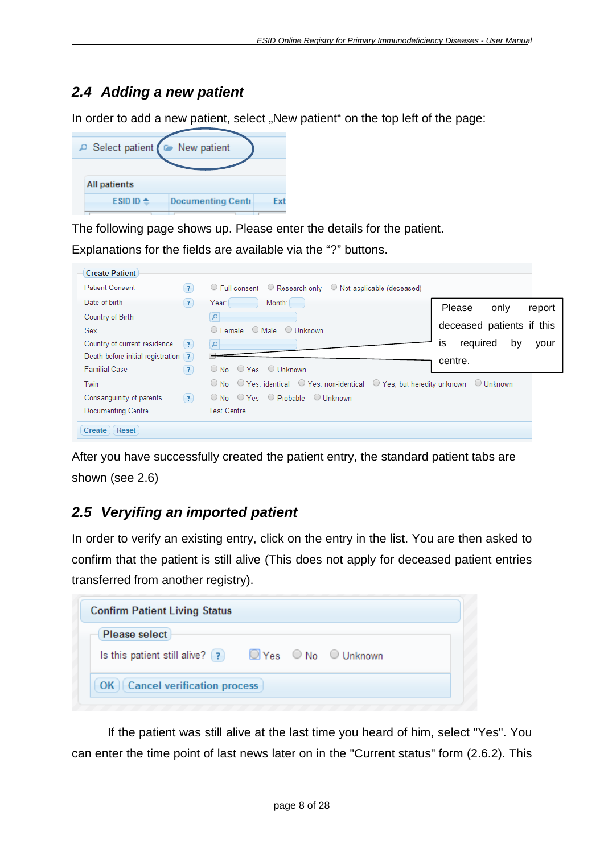# <span id="page-7-0"></span>*2.4 Adding a new patient*

In order to add a new patient, select "New patient" on the top left of the page:

| P Select patient ( E New patient |                          |     |
|----------------------------------|--------------------------|-----|
| All patients                     |                          |     |
| ESID ID $\triangle$              | <b>Documenting Centi</b> | Fxf |

The following page shows up. Please enter the details for the patient.

Explanations for the fields are available via the "?" buttons.

| <b>Create Patient</b>                             |                                                                                                                      |
|---------------------------------------------------|----------------------------------------------------------------------------------------------------------------------|
| <b>Patient Consent</b><br>$\vert$ ? $\rangle$     | $\circ$ Full consent $\circ$ Research only $\circ$ Not applicable (deceased)                                         |
| Date of birth<br>(2)                              | Year:<br>Month:<br>Please<br>only<br>report                                                                          |
| Country of Birth                                  |                                                                                                                      |
| <b>Sex</b>                                        | deceased patients if this<br>$\bigcirc$ Male<br>$\circ$ Female<br>$\bigcirc$ Unknown                                 |
| Country of current residence<br>$\left( 3\right)$ | required<br>İS<br>by<br>your<br>$\vert a \vert$                                                                      |
| Death before initial registration ?               |                                                                                                                      |
| <b>Familial Case</b><br>(7)                       | centre.<br>$\bigcirc$ No $\bigcirc$ Yes $\bigcirc$ Unknown                                                           |
| Twin                                              | $\circ$ No $\circ$ Yes: identical $\circ$ Yes: non-identical $\circ$ Yes, but heredity unknown<br>$\bigcirc$ Unknown |
| Consanguinity of parents<br>$\left( 2\right)$     | $\circ$ No $\circ$ Yes $\circ$ Probable $\circ$ Unknown                                                              |
| Documenting Centre                                | <b>Test Centre</b>                                                                                                   |
| Reset<br>Create                                   |                                                                                                                      |

After you have successfully created the patient entry, the standard patient tabs are shown (see [2.6\)](#page-10-0)

# <span id="page-7-1"></span>*2.5 Veryifing an imported patient*

In order to verify an existing entry, click on the entry in the list. You are then asked to confirm that the patient is still alive (This does not apply for deceased patient entries transferred from another registry).

| <b>Confirm Patient Living Status</b>     |                                                                            |
|------------------------------------------|----------------------------------------------------------------------------|
| <b>Please select</b>                     | Is this patient still alive? (?) $\bigcirc$ Yes $\circ$ No $\circ$ Unknown |
| <b>Cancel verification process</b><br>OK |                                                                            |

If the patient was still alive at the last time you heard of him, select "Yes". You can enter the time point of last news later on in the "Current status" form [\(2.6.2\)](#page-13-0). This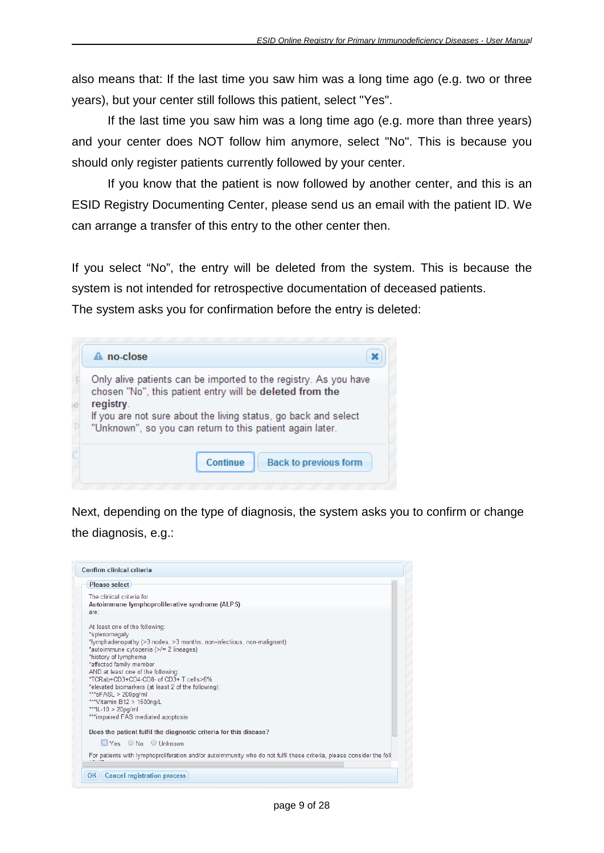also means that: If the last time you saw him was a long time ago (e.g. two or three years), but your center still follows this patient, select "Yes".

If the last time you saw him was a long time ago (e.g. more than three years) and your center does NOT follow him anymore, select "No". This is because you should only register patients currently followed by your center.

If you know that the patient is now followed by another center, and this is an ESID Registry Documenting Center, please send us an email with the patient ID. We can arrange a transfer of this entry to the other center then.

If you select "No", the entry will be deleted from the system. This is because the system is not intended for retrospective documentation of deceased patients.

The system asks you for confirmation before the entry is deleted:

| A no-close                                                                                                                                                                                                                                                                |
|---------------------------------------------------------------------------------------------------------------------------------------------------------------------------------------------------------------------------------------------------------------------------|
| Only alive patients can be imported to the registry. As you have<br>chosen "No", this patient entry will be deleted from the<br>registry.<br>If you are not sure about the living status, go back and select<br>"Unknown", so you can return to this patient again later. |
| Continue<br><b>Back to previous form</b>                                                                                                                                                                                                                                  |

Next, depending on the type of diagnosis, the system asks you to confirm or change the diagnosis, e.g.:

| Confirm clinical criteria                                                                                                                                                                                                                                                                                                                                                                                                                                                        |
|----------------------------------------------------------------------------------------------------------------------------------------------------------------------------------------------------------------------------------------------------------------------------------------------------------------------------------------------------------------------------------------------------------------------------------------------------------------------------------|
| Please select                                                                                                                                                                                                                                                                                                                                                                                                                                                                    |
| The clinical criteria for<br>Autoimmune lymphoproliferative syndrome (ALPS)<br>are:                                                                                                                                                                                                                                                                                                                                                                                              |
| At least one of the following:<br>*splenomegaly<br>*lymphadenopathy (>3 nodes, >3 months, non-infectious, non-malignant)<br>*autoimmune cytopenia (>/= 2 lineages)<br>*history of lymphoma<br>*affected family member<br>AND at least one of the following:<br>*TCRab+CD3+CD4-CD8- of CD3+ T cells>6%<br>*elevated biomarkers (at least 2 of the following):<br>*** $sFASL > 200pq/ml$<br>*** Vitamin B12 > 1500ng/L<br>***IL-10 > 20pg/ml<br>***impaired FAS mediated apoptosis |
| Does the patient fulfil the diagnostic criteria for this disease?                                                                                                                                                                                                                                                                                                                                                                                                                |
| $\Box$ Yes $\bigcirc$ No $\bigcirc$ Unknown                                                                                                                                                                                                                                                                                                                                                                                                                                      |
| For patients with lymphoproliferation and/or autoimmunity who do not fulfil these criteria, please consider the foll                                                                                                                                                                                                                                                                                                                                                             |
| <b>Cancel registration process</b><br>OK                                                                                                                                                                                                                                                                                                                                                                                                                                         |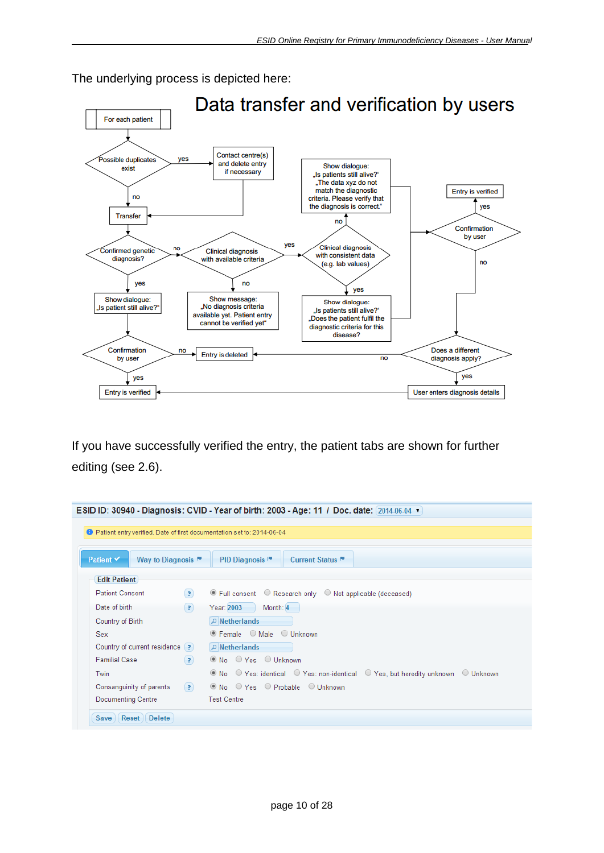

The underlying process is depicted here:

If you have successfully verified the entry, the patient tabs are shown for further editing (see [2.6\)](#page-10-0).

| <b>D</b> Patient entry verified. Date of first documentation set to: 2014-06-04 |                   | ESID ID: 30940 - Diagnosis: CVID - Year of birth: 2003 - Age: 11 / Doc. date: 2014-06-04 ▼ |
|---------------------------------------------------------------------------------|-------------------|--------------------------------------------------------------------------------------------|
| Patient V<br>Way to Diagnosis                                                   |                   | PID Diagnosis <sup>™</sup><br>Current Status <sup>III</sup>                                |
| <b>Edit Patient</b>                                                             |                   |                                                                                            |
| <b>Patient Consent</b>                                                          | $\left( 2\right)$ | ⊙ Full consent ○ Research only ○ Not applicable (deceased)                                 |
| Date of birth                                                                   | (2)               | Year: 2003<br>Month: 4                                                                     |
| Country of Birth                                                                |                   | $\Box$ Netherlands                                                                         |
| <b>Sex</b>                                                                      |                   |                                                                                            |
| Country of current residence [?]                                                |                   | $\Box$ Netherlands                                                                         |
| <b>Familial Case</b>                                                            | (7)               | $\circledcirc$ No $\circledcirc$ Yes $\circledcirc$ Unknown                                |
| Twin                                                                            |                   | ● No  ○ Yes: identical  ○ Yes: non-identical  ○ Yes, but heredity unknown  ○ Unknown       |
| Consanguinity of parents                                                        | $\left( 7\right)$ | $\circledcirc$ No $\circledcirc$ Yes $\circledcirc$ Probable $\circledcirc$ Unknown        |
| <b>Documenting Centre</b>                                                       |                   | <b>Test Centre</b>                                                                         |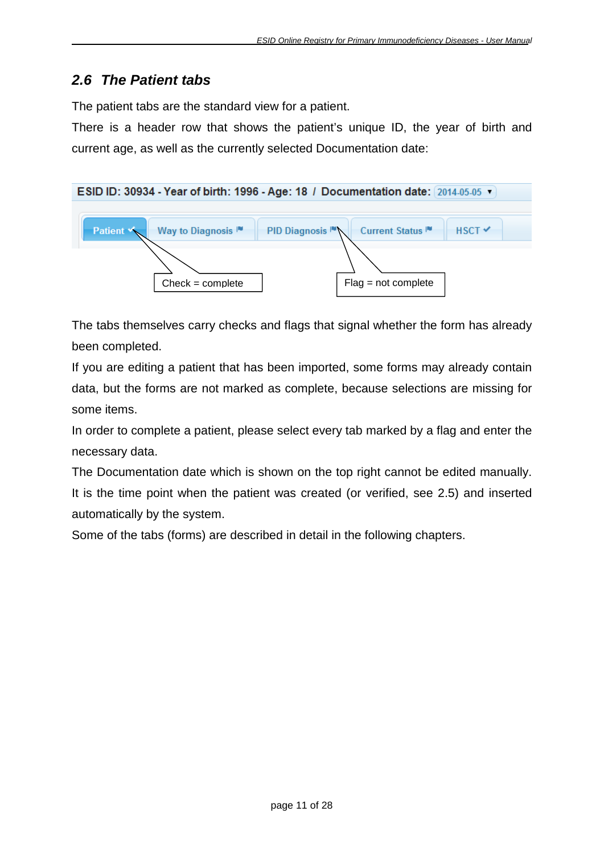# <span id="page-10-0"></span>*2.6 The Patient tabs*

The patient tabs are the standard view for a patient.

There is a header row that shows the patient's unique ID, the year of birth and current age, as well as the currently selected Documentation date:



The tabs themselves carry checks and flags that signal whether the form has already been completed.

If you are editing a patient that has been imported, some forms may already contain data, but the forms are not marked as complete, because selections are missing for some items.

In order to complete a patient, please select every tab marked by a flag and enter the necessary data.

The Documentation date which is shown on the top right cannot be edited manually. It is the time point when the patient was created (or verified, see [2.5\)](#page-7-1) and inserted automatically by the system.

Some of the tabs (forms) are described in detail in the following chapters.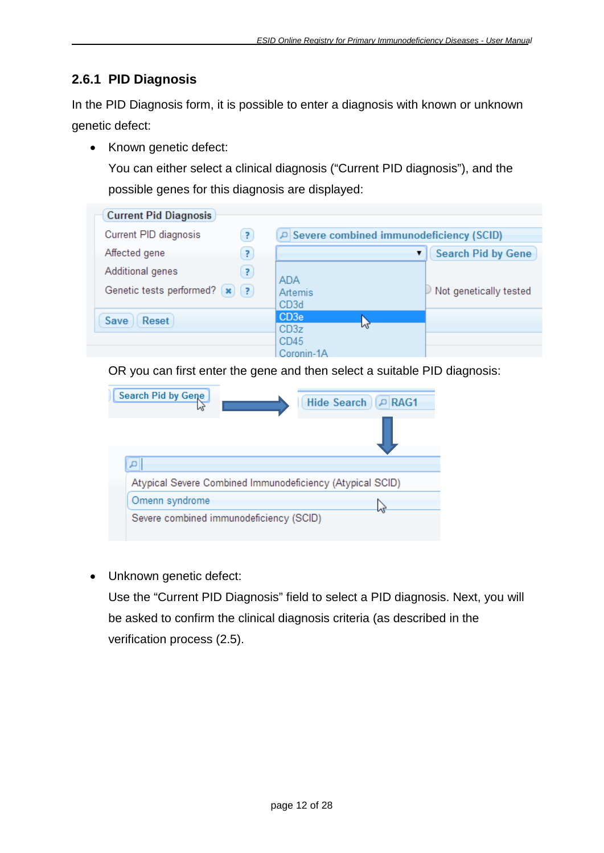### <span id="page-11-0"></span>**2.6.1 PID Diagnosis**

In the PID Diagnosis form, it is possible to enter a diagnosis with known or unknown genetic defect:

• Known genetic defect:

You can either select a clinical diagnosis ("Current PID diagnosis"), and the possible genes for this diagnosis are displayed:



OR you can first enter the gene and then select a suitable PID diagnosis:



• Unknown genetic defect:

Use the "Current PID Diagnosis" field to select a PID diagnosis. Next, you will be asked to confirm the clinical diagnosis criteria (as described in the verification process [\(2.5\)](#page-7-1).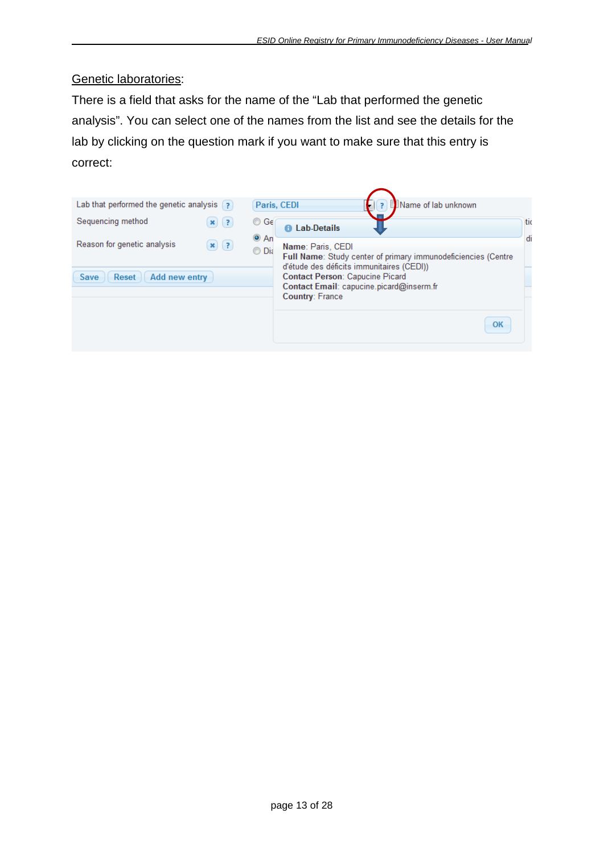#### Genetic laboratories:

There is a field that asks for the name of the "Lab that performed the genetic analysis". You can select one of the names from the list and see the details for the lab by clicking on the question mark if you want to make sure that this entry is correct:

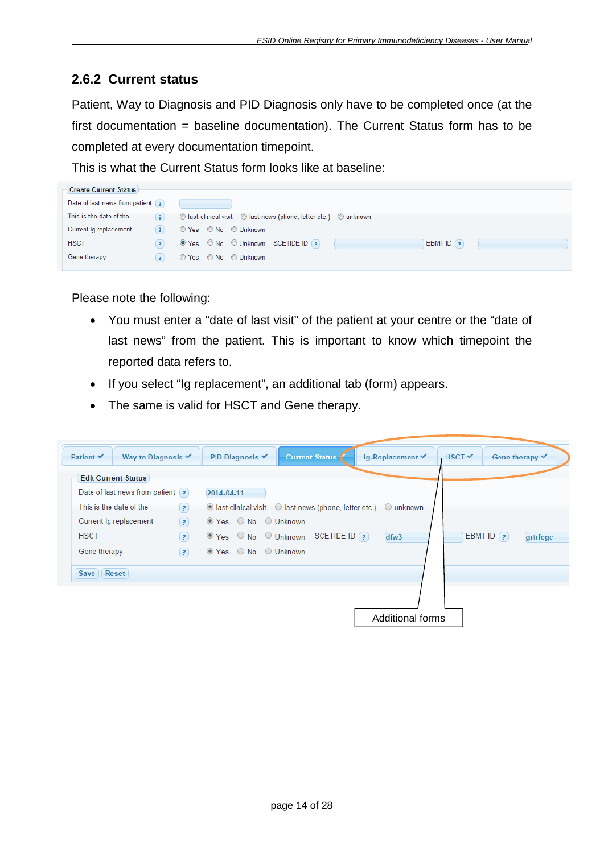#### <span id="page-13-0"></span>**2.6.2 Current status**

Patient, Way to Diagnosis and PID Diagnosis only have to be completed once (at the first documentation = baseline documentation). The Current Status form has to be completed at every documentation timepoint.

This is what the Current Status form looks like at baseline:

| <b>Create Current Status</b>     |                   |                                                                  |
|----------------------------------|-------------------|------------------------------------------------------------------|
| Date of last news from patient ? |                   |                                                                  |
| This is the date of the          | $\left( 2\right)$ | ◯ last clinical visit ◯ last news (phone, letter etc.) ◯ unknown |
| Current lg replacement           | $\vert$ ?         | ⊙ Yes © No © Unknown                                             |
| <b>HSCT</b>                      | $\overline{?}$    | O Yes © No © Unknown SCETIDE ID ?<br>EBMT ID $($ ?               |
| Gene therapy                     | $\overline{z}$    | ⊙ Yes © No © Unknown                                             |

Please note the following:

- You must enter a "date of last visit" of the patient at your centre or the "date of last news" from the patient. This is important to know which timepoint the reported data refers to.
- If you select "Ig replacement", an additional tab (form) appears.
- The same is valid for HSCT and Gene therapy.

| <b>Edit Current Status</b><br>Date of last news from patient ? |     | 2014-04-11 |                                                                                    |  |      |               |          |
|----------------------------------------------------------------|-----|------------|------------------------------------------------------------------------------------|--|------|---------------|----------|
| This is the date of the                                        | (7) |            | $\odot$ last clinical visit $\odot$ last news (phone, letter etc.) $\odot$ unknown |  |      |               |          |
| Current Ig replacement                                         | (2) |            | ⊙ Yes ○ No ○ Unknown                                                               |  |      |               |          |
| <b>HSCT</b>                                                    | (2) |            | $\odot$ Yes $\odot$ No $\odot$ Unknown SCETIDE ID ?                                |  | dfw3 | EBMT ID $(2)$ | grtrfcgc |
| Gene therapy                                                   | (2) |            | ⊙ Yes ○ No ○ Unknown                                                               |  |      |               |          |
| Save <b>Reset</b>                                              |     |            |                                                                                    |  |      |               |          |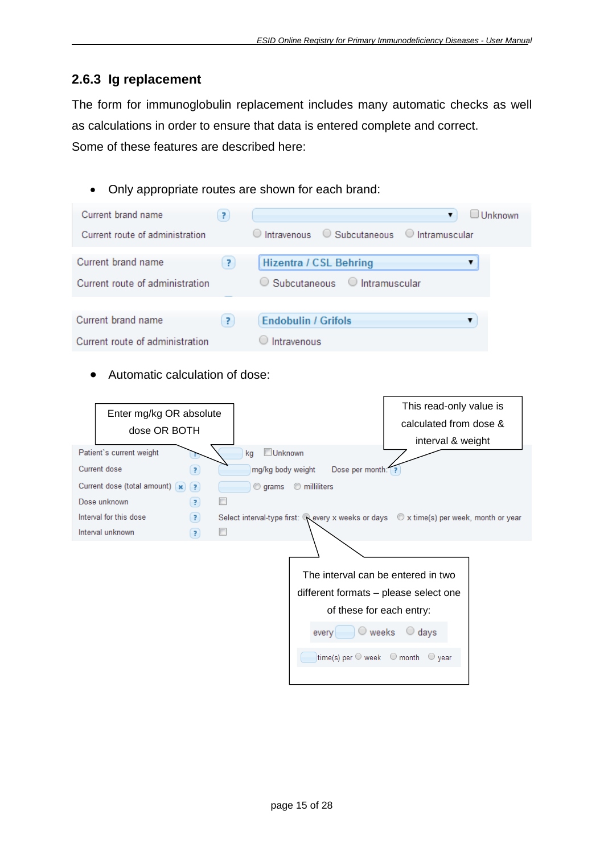## <span id="page-14-0"></span>**2.6.3 Ig replacement**

The form for immunoglobulin replacement includes many automatic checks as well as calculations in order to ensure that data is entered complete and correct. Some of these features are described here:

• Only appropriate routes are shown for each brand:

| Current brand name<br>7                                     | Unknown<br>▼                                                                |
|-------------------------------------------------------------|-----------------------------------------------------------------------------|
| Current route of administration                             | $\circ$ Intravenous $\circ$ Subcutaneous $\circ$ Intramuscular              |
| Current brand name<br>P.<br>Current route of administration | <b>Hizentra / CSL Behring</b><br>$\circ$ Subcutaneous $\circ$ Intramuscular |
| Current brand name<br>Ŗ.<br>Current route of administration | <b>Endobulin / Grifols</b><br>Intravenous                                   |

• Automatic calculation of dose:

| This read-only value is<br>Enter mg/kg OR absolute                                                                                             |
|------------------------------------------------------------------------------------------------------------------------------------------------|
| calculated from dose &<br>dose OR BOTH                                                                                                         |
| interval & weight                                                                                                                              |
| Unknown<br>Patient's current weight<br>kg                                                                                                      |
| Current dose<br>Dose per month:   ?<br>mg/kg body weight<br>$\left( 2\right)$                                                                  |
| Current dose (total amount) (x)<br>(2)<br><b>O</b> milliliters<br>$\circ$ grams                                                                |
| Dose unknown<br>$\left( 2\right)$                                                                                                              |
| $\circled{?}$<br>Interval for this dose<br>Select interval-type first: Revery x weeks or days $\circledcirc$ x time(s) per week, month or year |
| $\Box$<br>Interval unknown<br>$\left( \mathbf{?}\right)$                                                                                       |
|                                                                                                                                                |
|                                                                                                                                                |
| The interval can be entered in two                                                                                                             |
| different formats - please select one                                                                                                          |
| of these for each entry:                                                                                                                       |
| $\circ$ weeks<br>$\bigcirc$ days<br>every                                                                                                      |
| time(s) per $\bigcirc$ week $\bigcirc$ month $\bigcirc$ year                                                                                   |
|                                                                                                                                                |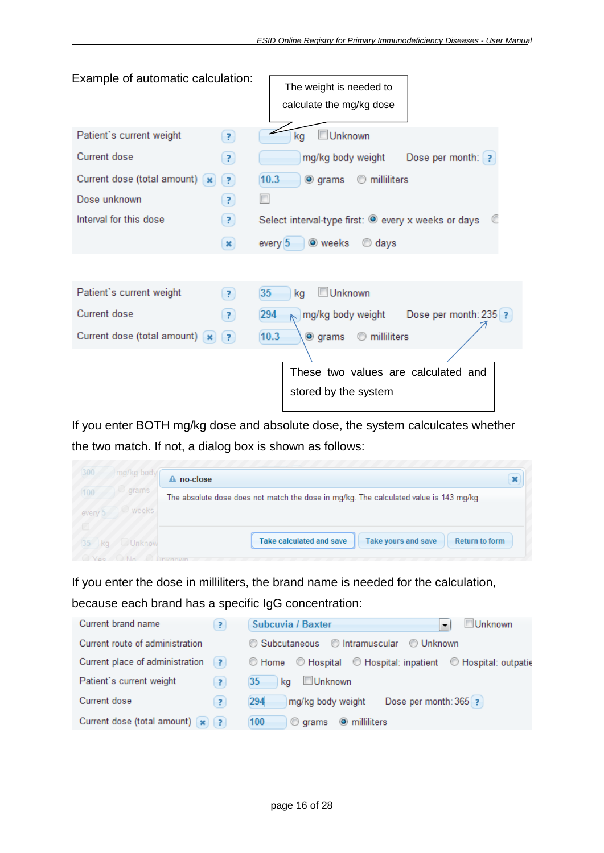| Example of automatic calculation:                 | The weight is needed to<br>calculate the mg/kg dose |
|---------------------------------------------------|-----------------------------------------------------|
| Patient's current weight<br>$\overline{z}$        | Unknown<br>kg                                       |
| Current dose<br>3                                 | Dose per month: ?<br>mg/kg body weight              |
| Current dose (total amount) [x]<br>$\overline{3}$ | 10.3<br><b>O</b> milliliters<br><b>◎</b> grams      |
| Dose unknown<br>7                                 |                                                     |
| Interval for this dose<br>$\mathbf{r}$            | Select interval-type first: @ every x weeks or days |
| $\boldsymbol{\mathsf{x}}$                         | ◉ weeks<br>every $5$<br>$\odot$ days                |
|                                                   |                                                     |
| Patient's current weight<br>$\mathbf{r}$          | Unknown<br>35<br>kg                                 |
| Current dose<br>7                                 | 294<br>Dose per month: 235 ?<br>mg/kg body weight   |
| Current dose (total amount) [x]<br>Ŧ              | 10.3<br>milliliters<br>$\bullet$ grams<br>⊙         |
|                                                   |                                                     |
|                                                   | These two values are calculated and                 |
|                                                   | stored by the system                                |

If you enter BOTH mg/kg dose and absolute dose, the system calculcates whether the two match. If not, a dialog box is shown as follows:

| 300<br>mg/kg body  | no-close<br>А                                                                         | v |
|--------------------|---------------------------------------------------------------------------------------|---|
| grams<br>100       | The absolute dose does not match the dose in mg/kg. The calculated value is 143 mg/kg |   |
| weeks<br>every'.   |                                                                                       |   |
|                    |                                                                                       |   |
| 35<br>Unknow<br>ka | <b>Take calculated and save</b><br>Return to form<br>Take yours and save              |   |

If you enter the dose in milliliters, the brand name is needed for the calculation,

because each brand has a specific IgG concentration:

| Current brand name<br>7                              | Unknown<br>Subcuvia / Baxter<br>$\overline{\phantom{a}}$     |
|------------------------------------------------------|--------------------------------------------------------------|
| Current route of administration                      | ◯ Subcutaneous ◯ Intramuscular<br>© Unknown                  |
| Current place of administration<br>$\vert$ ? $\vert$ | © Home © Hospital © Hospital: inpatient © Hospital: outpatie |
| Patient's current weight<br>7                        | Unknown<br>35<br>ka                                          |
| Current dose<br>$\overline{?}$                       | Dose per month: 365 ?<br>294<br>mg/kg body weight            |
| Current dose (total amount) $\left  \right\rangle$ ? | 100<br><b>O</b> milliliters<br>$\circ$ grams                 |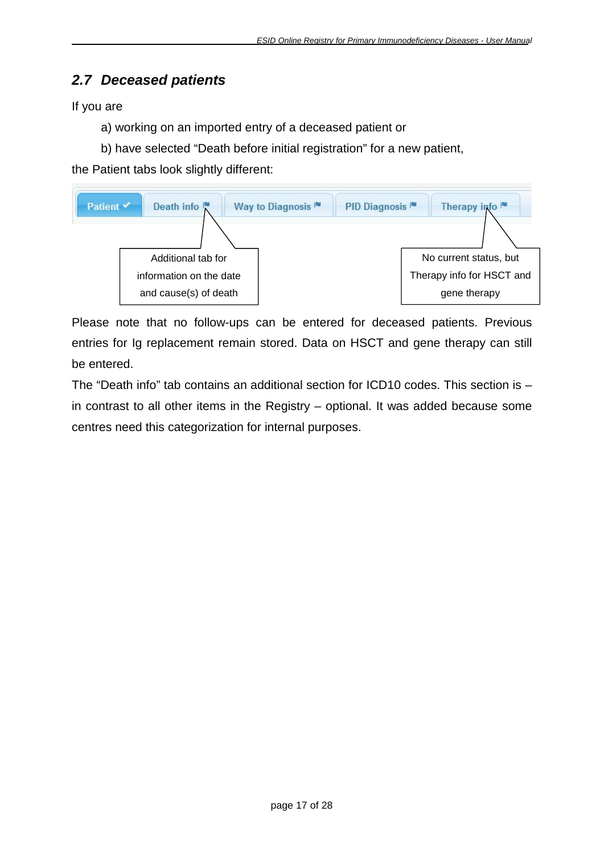# <span id="page-16-0"></span>*2.7 Deceased patients*

If you are

a) working on an imported entry of a deceased patient or

b) have selected "Death before initial registration" for a new patient,

the Patient tabs look slightly different:



Please note that no follow-ups can be entered for deceased patients. Previous entries for Ig replacement remain stored. Data on HSCT and gene therapy can still be entered.

The "Death info" tab contains an additional section for ICD10 codes. This section is – in contrast to all other items in the Registry – optional. It was added because some centres need this categorization for internal purposes.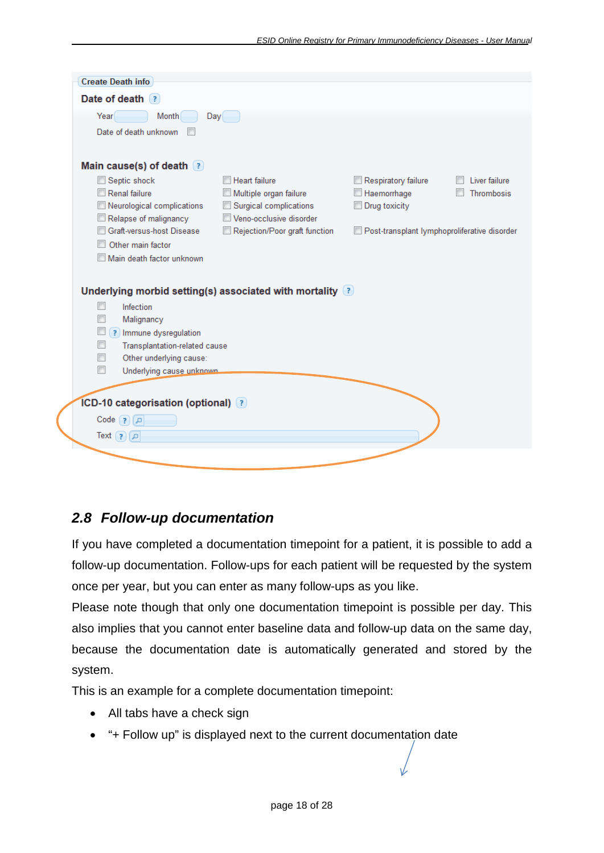| <b>Create Death info</b>                   |                                                                    |                                              |               |
|--------------------------------------------|--------------------------------------------------------------------|----------------------------------------------|---------------|
| Date of death (?)                          |                                                                    |                                              |               |
| Month<br>Year                              | Day                                                                |                                              |               |
| Date of death unknown                      |                                                                    |                                              |               |
|                                            |                                                                    |                                              |               |
|                                            |                                                                    |                                              |               |
| Main cause(s) of death $(?)$               |                                                                    |                                              |               |
| Septic shock                               | <b>Heart failure</b>                                               | $\mathbb I$ Respiratory failure              | Liver failure |
| Renal failure                              | Multiple organ failure                                             | Haemorrhage                                  | Thrombosis    |
| Neurological complications                 | Surgical complications                                             | Drug toxicity                                |               |
| Relapse of malignancy                      | Veno-occlusive disorder                                            |                                              |               |
| Graft-versus-host Disease                  | Rejection/Poor graft function                                      | Post-transplant lymphoproliferative disorder |               |
| Other main factor                          |                                                                    |                                              |               |
| Main death factor unknown                  |                                                                    |                                              |               |
|                                            |                                                                    |                                              |               |
|                                            | Underlying morbid setting(s) associated with mortality $\boxed{?}$ |                                              |               |
| Infection                                  |                                                                    |                                              |               |
| Malignancy                                 |                                                                    |                                              |               |
| ? Immune dysregulation                     |                                                                    |                                              |               |
| Transplantation-related cause              |                                                                    |                                              |               |
| Other underlying cause:                    |                                                                    |                                              |               |
| $\blacksquare$<br>Underlying cause unknown |                                                                    |                                              |               |
|                                            |                                                                    |                                              |               |
|                                            |                                                                    |                                              |               |
| <b>ICD-10 categorisation (optional)</b> ?  |                                                                    |                                              |               |
| $Code$ ?<br>م)                             |                                                                    |                                              |               |
| $Text$ (?) $\Box$                          |                                                                    |                                              |               |
|                                            |                                                                    |                                              |               |
|                                            |                                                                    |                                              |               |
|                                            |                                                                    |                                              |               |

### <span id="page-17-0"></span>*2.8 Follow-up documentation*

If you have completed a documentation timepoint for a patient, it is possible to add a follow-up documentation. Follow-ups for each patient will be requested by the system once per year, but you can enter as many follow-ups as you like.

Please note though that only one documentation timepoint is possible per day. This also implies that you cannot enter baseline data and follow-up data on the same day, because the documentation date is automatically generated and stored by the system.

This is an example for a complete documentation timepoint:

- All tabs have a check sign
- "+ Follow up" is displayed next to the current documentation date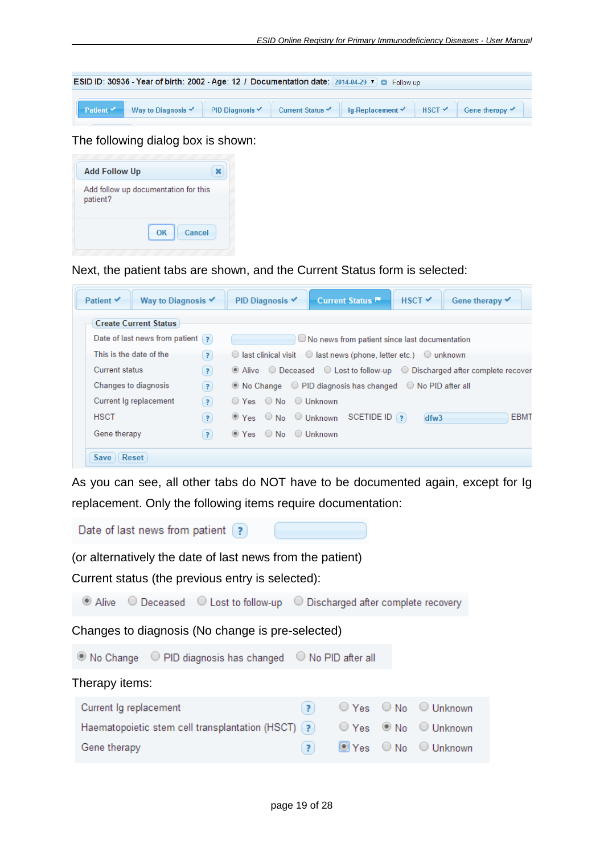

The following dialog box is shown:

| <b>Add Follow Up</b> |                                      |
|----------------------|--------------------------------------|
| patient?             | Add follow up documentation for this |
|                      | Cancel<br>OK                         |

Next, the patient tabs are shown, and the Current Status form is selected:

| Way to Diagnosis $\checkmark$<br>Patient ✔                  |                         | Current Status <sup>1™</sup><br>PID Diagnosis ✔<br>$HSCT \nightharpoonup$<br>Gene therapy V          |
|-------------------------------------------------------------|-------------------------|------------------------------------------------------------------------------------------------------|
| <b>Create Current Status</b>                                |                         |                                                                                                      |
| Date of last news from patient $\left( \frac{1}{2} \right)$ |                         | $\Box$ No news from patient since last documentation                                                 |
| This is the date of the                                     | 7)                      | $\bigcirc$ last clinical visit $\bigcirc$ last news (phone, letter etc.) $\bigcirc$ unknown          |
| <b>Current status</b>                                       | $\left( 7\right)$       | $\bullet$ Alive $\circ$ Deceased $\circ$ Lost to follow-up $\circ$ Discharged after complete recover |
| Changes to diagnosis                                        | (7)                     | $\odot$ No Change $\odot$ PID diagnosis has changed $\odot$ No PID after all                         |
| Current Ig replacement                                      | $\left( 7\right)$       | $\bigcirc$ Yes $\bigcirc$ No $\bigcirc$ Unknown                                                      |
| <b>HSCT</b>                                                 | $\overline{\mathbf{z}}$ | <b>EBMT</b><br>SCETIDE ID [?]<br>$\odot$ Yes $\odot$ No $\odot$ Unknown<br>dfw3                      |
| Gene therapy                                                | 3                       | $\bullet$ Yes $\circ$ No $\circ$ Unknown                                                             |

As you can see, all other tabs do NOT have to be documented again, except for Ig replacement. Only the following items require documentation:

Date of last news from patient [?]

(or alternatively the date of last news from the patient)

Current status (the previous entry is selected):

◉ Alive ○ Deceased ○ Lost to follow-up ○ Discharged after complete recovery

Changes to diagnosis (No change is pre-selected)

◎ No Change ○ PID diagnosis has changed ○ No PID after all

| ? ○ Yes ○ No ○ Unknown<br>Current Ig replacement                         |  |
|--------------------------------------------------------------------------|--|
|                                                                          |  |
| Haematopoietic stem cell transplantation (HSCT) (?) ○ Yes ● No ○ Unknown |  |
| (?) ■ Yes ○ No ○ Unknown<br>Gene therapy                                 |  |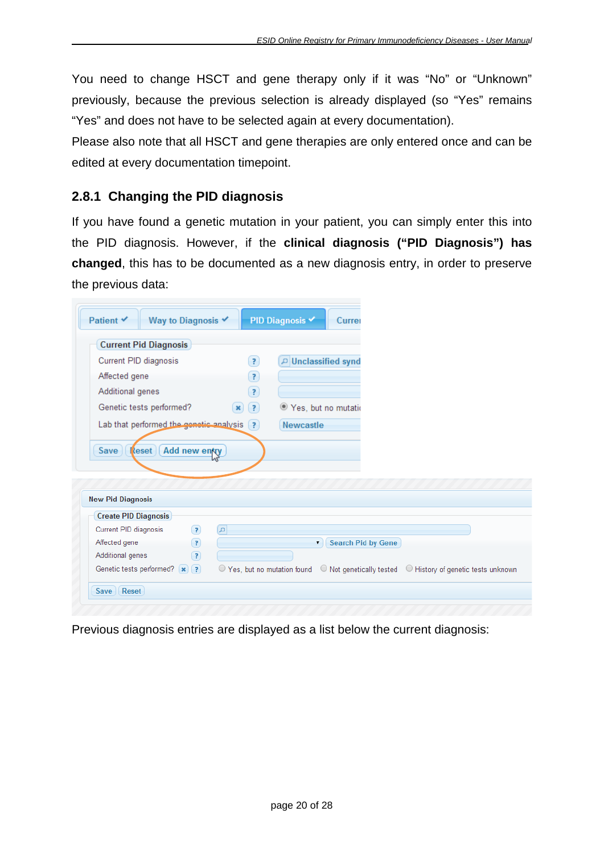You need to change HSCT and gene therapy only if it was "No" or "Unknown" previously, because the previous selection is already displayed (so "Yes" remains "Yes" and does not have to be selected again at every documentation).

Please also note that all HSCT and gene therapies are only entered once and can be edited at every documentation timepoint.

### <span id="page-19-0"></span>**2.8.1 Changing the PID diagnosis**

If you have found a genetic mutation in your patient, you can simply enter this into the PID diagnosis. However, if the **clinical diagnosis ("PID Diagnosis") has changed**, this has to be documented as a new diagnosis entry, in order to preserve the previous data:

| <b>Current Pid Diagnosis</b>                                                                                |                                          |
|-------------------------------------------------------------------------------------------------------------|------------------------------------------|
| Current PID diagnosis                                                                                       | D Unclassified synd<br>$\left( 2\right)$ |
| Affected gene                                                                                               | $\left( 2\right)$                        |
| Additional genes                                                                                            | 3                                        |
| Genetic tests performed?                                                                                    | ● Yes, but no mutatio<br>(2)             |
| Lab that performed the genetic analysis                                                                     | (2)<br><b>Newcastle</b>                  |
| Save<br>Add new entry<br>$\lceil$ eset                                                                      |                                          |
|                                                                                                             |                                          |
|                                                                                                             |                                          |
| <b>Create PID Diagnosis</b><br>$\left( 3 \right)$                                                           | $\alpha$                                 |
| $\odot$                                                                                                     | <b>Search Pid by Gene</b><br>▼.          |
| <b>New Pid Diagnosis</b><br>Current PID diagnosis<br>Affected gene<br>Additional genes<br>$\left( 2\right)$ |                                          |

Previous diagnosis entries are displayed as a list below the current diagnosis: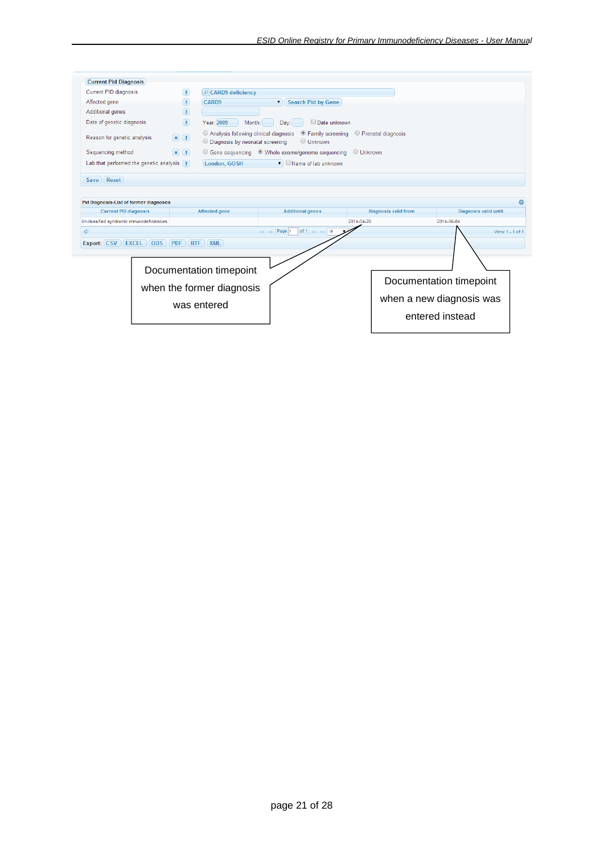| <b>Current PID diagnosis</b>                  | $\left( 2\right)$                                     | CARD9 deficiency                                                             |                                                             |                             |                          |
|-----------------------------------------------|-------------------------------------------------------|------------------------------------------------------------------------------|-------------------------------------------------------------|-----------------------------|--------------------------|
| Affected gene                                 | (2)                                                   | CARD <sub>9</sub>                                                            | <b>Search Pid by Gene</b><br>۷.                             |                             |                          |
| <b>Additional genes</b>                       | $\left( 2\right)$                                     |                                                                              |                                                             |                             |                          |
| Date of genetic diagnosis                     | (2)                                                   | Year: 2009<br>Month:                                                         | Date unknown<br>Dav:                                        |                             |                          |
| Reason for genetic analysis                   | $\left( \mathbf{x}\right)$ $\left( \mathbf{z}\right)$ | O Analysis following clinical diagnosis<br>O Diagnosis by neonatal screening | ● Family screening<br>O Unknown                             | Prenatal diagnosis          |                          |
| Sequencing method                             | $\left( \mathbf{x}\right)$ $\left( \mathbf{z}\right)$ |                                                                              | ○ Gene sequencing ● Whole exome/genome sequencing ● Unknown |                             |                          |
| Lab that performed the genetic analysis $(?)$ |                                                       | London, GOSH                                                                 | $\blacksquare$ Name of lab unknown                          |                             |                          |
| Reset<br>Save                                 |                                                       |                                                                              |                                                             |                             |                          |
|                                               |                                                       |                                                                              |                                                             |                             |                          |
|                                               |                                                       |                                                                              |                                                             |                             |                          |
| <b>Pid Diagnosis-List of former diagnoses</b> |                                                       |                                                                              |                                                             |                             |                          |
|                                               |                                                       |                                                                              |                                                             |                             |                          |
| <b>Current PID diagnosis</b>                  |                                                       | Affected gene                                                                | <b>Additional genes</b>                                     | <b>Diagnosis valid from</b> | Diagnosis valid until    |
| Unclassified syndromic immunodeficiencies     |                                                       |                                                                              |                                                             | 2014-04-28                  | 2014-06-04               |
| Ġ.                                            |                                                       |                                                                              | of 1 $\Rightarrow$ $\Rightarrow$ 15<br>Page 1               |                             | View 1 - 1 of 1          |
| Export: CSV<br><b>EXCEL</b><br><b>ODS</b>     | <b>PDF</b><br><b>RTF</b>                              | XML                                                                          |                                                             |                             |                          |
|                                               |                                                       |                                                                              |                                                             |                             |                          |
|                                               |                                                       |                                                                              |                                                             |                             |                          |
|                                               |                                                       | Documentation timepoint                                                      |                                                             |                             |                          |
|                                               |                                                       |                                                                              |                                                             |                             | Documentation timepoint  |
|                                               |                                                       | when the former diagnosis                                                    |                                                             |                             |                          |
|                                               |                                                       |                                                                              |                                                             |                             | when a new diagnosis was |
|                                               |                                                       | was entered                                                                  |                                                             |                             | entered instead          |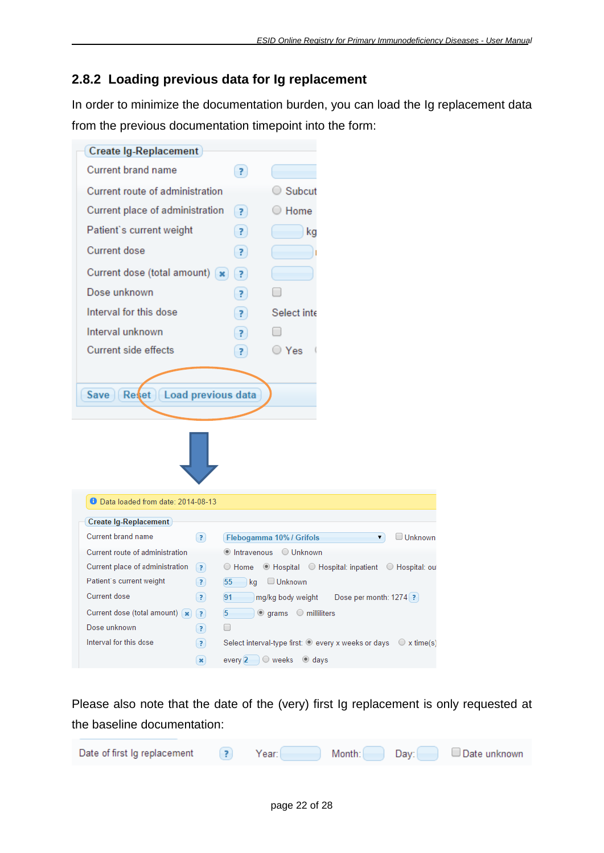# <span id="page-21-0"></span>**2.8.2 Loading previous data for Ig replacement**

In order to minimize the documentation burden, you can load the Ig replacement data from the previous documentation timepoint into the form:

| Create Ig-Replacement                                     |                         |                                                                             |                        |
|-----------------------------------------------------------|-------------------------|-----------------------------------------------------------------------------|------------------------|
| <b>Current brand name</b>                                 | (2)                     |                                                                             |                        |
| Current route of administration                           |                         | Subcut                                                                      |                        |
| Current place of administration                           | $\vert$ ?               | Home                                                                        |                        |
| Patient's current weight                                  | $\overline{\mathbf{r}}$ | ka                                                                          |                        |
| Current dose                                              | 7                       |                                                                             |                        |
| Current dose (total amount) [x]                           |                         |                                                                             |                        |
|                                                           | $\left( 2\right)$       |                                                                             |                        |
| Dose unknown                                              | 7                       |                                                                             |                        |
| Interval for this dose                                    | 7                       | Select inte                                                                 |                        |
| Interval unknown                                          | 7)                      |                                                                             |                        |
| Current side effects                                      | $\mathbf{P}$            | ○ Yes                                                                       |                        |
|                                                           |                         |                                                                             |                        |
| <b>D</b> Data loaded from date: 2014-08-13                |                         |                                                                             |                        |
| Create Ig-Replacement                                     |                         |                                                                             |                        |
| <b>Current brand name</b><br>(2)                          |                         | Flebogamma 10% / Grifols                                                    | $\Box$ Unknown<br>▼    |
| Current route of administration                           |                         | ● Intravenous ● Unknown                                                     |                        |
| Current place of administration<br>$\left( 7\right)$      |                         | ○ Home · ● Hospital · ○ Hospital: inpatient · ○ Hospital: out               |                        |
| Patient's current weight<br>(7)                           | 55                      | $\Box$ kg $\Box$ Unknown                                                    |                        |
| <b>Current dose</b><br>$\left( 3 \right)$                 | 91                      | mg/kg body weight                                                           | Dose per month: 1274 ? |
| Current dose (total amount) $\left( \mathbf{x} \right)$ ? |                         | $\boxed{5}$ $\boxed{0}$ grams $\boxed{0}$ milliliters                       |                        |
| Dose unknown<br>(2)                                       | □                       |                                                                             |                        |
| Interval for this dose<br>(2)                             |                         | Select interval-type first: $\odot$ every x weeks or days $\odot$ x time(s) |                        |
| $\boldsymbol{\mathsf{x}}$                                 |                         | every $2 \cup \mathbb{O}$ weeks<br>$\bullet$ days                           |                        |

Please also note that the date of the (very) first Ig replacement is only requested at the baseline documentation:

| Date of first Ig replacement | Year: I | Month: | Day: | Date unknown |
|------------------------------|---------|--------|------|--------------|
|                              |         |        |      |              |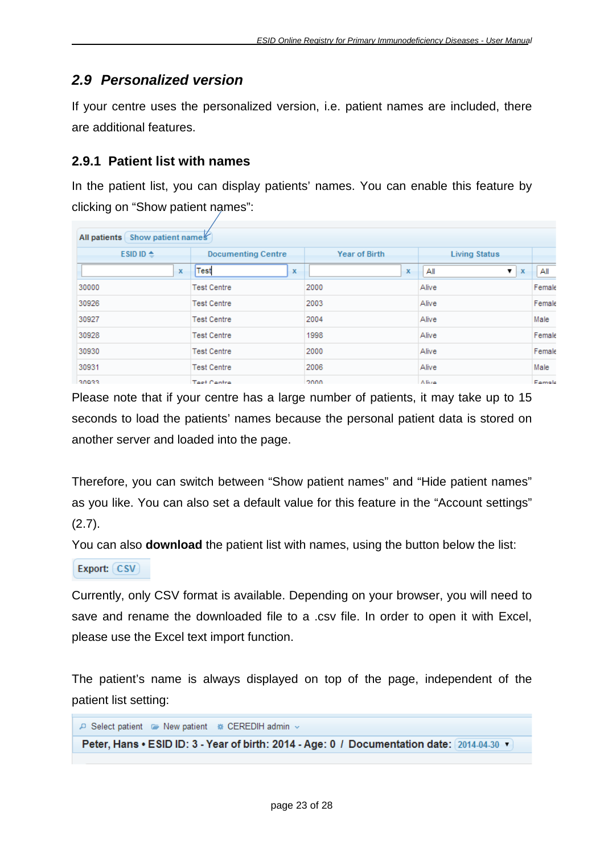# <span id="page-22-0"></span>*2.9 Personalized version*

If your centre uses the personalized version, i.e. patient names are included, there are additional features.

#### <span id="page-22-1"></span>**2.9.1 Patient list with names**

In the patient list, you can display patients' names. You can enable this feature by clicking on "Show patient names":

| All patients Show patient names |                           |               |                          |        |  |  |  |
|---------------------------------|---------------------------|---------------|--------------------------|--------|--|--|--|
| ESID ID $\triangle$             | <b>Documenting Centre</b> | Year of Birth | <b>Living Status</b>     |        |  |  |  |
| $\mathbf x$                     | Test<br>x                 | $\mathbf x$   | All<br>▼<br>$\mathbf{x}$ | All    |  |  |  |
| 30000                           | <b>Test Centre</b>        | 2000          | Alive                    | Female |  |  |  |
| 30926                           | <b>Test Centre</b>        | 2003          | Alive                    | Female |  |  |  |
| 30927                           | <b>Test Centre</b>        | 2004          | Alive                    | Male   |  |  |  |
| 30928                           | <b>Test Centre</b>        | 1998          | Alive                    | Female |  |  |  |
| 30930                           | <b>Test Centre</b>        | 2000          | Alive                    | Female |  |  |  |
| 30931                           | <b>Test Centre</b>        | 2006          | Alive                    | Male   |  |  |  |
| 30022                           | Teet Centre               | 2000.         | A livro                  | Famale |  |  |  |

Please note that if your centre has a large number of patients, it may take up to 15 seconds to load the patients' names because the personal patient data is stored on another server and loaded into the page.

Therefore, you can switch between "Show patient names" and "Hide patient names" as you like. You can also set a default value for this feature in the "Account settings"  $(2.7)$ .

You can also **download** the patient list with names, using the button below the list:

```
Export: (CSV)
```
Currently, only CSV format is available. Depending on your browser, you will need to save and rename the downloaded file to a .csv file. In order to open it with Excel, please use the Excel text import function.

The patient's name is always displayed on top of the page, independent of the patient list setting:

```
P Select patient · New patient * CEREDIH admin »
Peter, Hans • ESID ID: 3 - Year of birth: 2014 - Age: 0 / Documentation date: 2014-04-30 \blacktriangledown
```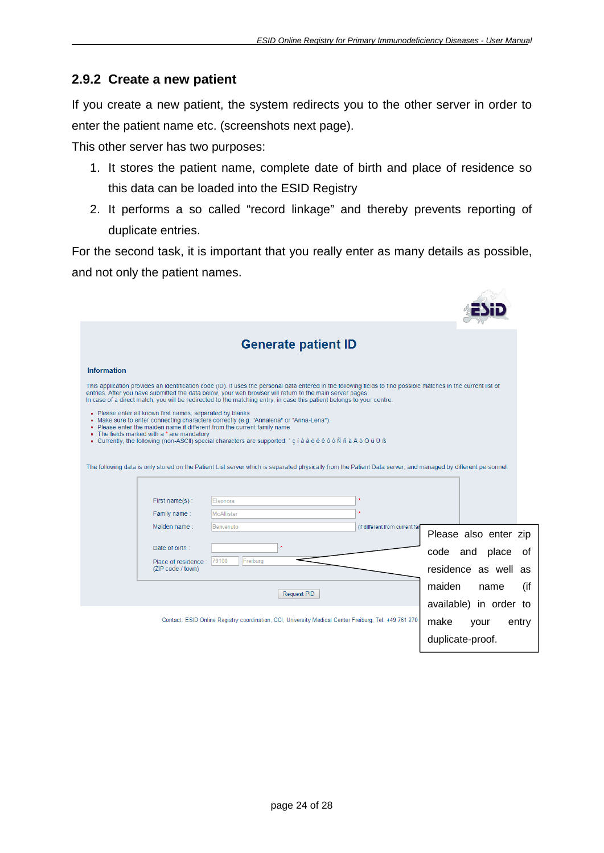532

#### <span id="page-23-0"></span>**2.9.2 Create a new patient**

If you create a new patient, the system redirects you to the other server in order to enter the patient name etc. (screenshots next page).

This other server has two purposes:

- 1. It stores the patient name, complete date of birth and place of residence so this data can be loaded into the ESID Registry
- 2. It performs a so called "record linkage" and thereby prevents reporting of duplicate entries.

For the second task, it is important that you really enter as many details as possible, and not only the patient names.

|                    |                                                                                                         | <b>Generate patient ID</b>                                                                                                                                                                                                                                                                                                                                                                            |                                |                        |
|--------------------|---------------------------------------------------------------------------------------------------------|-------------------------------------------------------------------------------------------------------------------------------------------------------------------------------------------------------------------------------------------------------------------------------------------------------------------------------------------------------------------------------------------------------|--------------------------------|------------------------|
| <b>Information</b> |                                                                                                         |                                                                                                                                                                                                                                                                                                                                                                                                       |                                |                        |
|                    |                                                                                                         | This application provides an identification code (ID). It uses the personal data entered in the following fields to find possible matches in the current list of<br>entries. After you have submitted the data below, your web browser will return to the main server pages.<br>In case of a direct match, you will be redirected to the matching entry, in case this patient belongs to your centre. |                                |                        |
|                    | • Please enter all known first names, separated by blanks<br>• The fields marked with a * are mandatory | - Make sure to enter connecting characters correctly (e.g. "Annalena" or "Anna-Lena").<br>. Please enter the maiden name if different from the current family name.<br>• Currently, the following (non-ASCII) special characters are supported: `cíà á é è ê ô ó Ñ ñ ã Ä ö Ö ü Ü ß                                                                                                                    |                                |                        |
|                    |                                                                                                         | The following data is only stored on the Patient List server which is separated physically from the Patient Data server, and managed by different personnel.                                                                                                                                                                                                                                          |                                |                        |
|                    |                                                                                                         |                                                                                                                                                                                                                                                                                                                                                                                                       |                                |                        |
|                    | First name(s):                                                                                          | Eleonora                                                                                                                                                                                                                                                                                                                                                                                              |                                |                        |
|                    | Family name:                                                                                            | McAllister                                                                                                                                                                                                                                                                                                                                                                                            |                                |                        |
|                    | Maiden name:                                                                                            | Benvenuto                                                                                                                                                                                                                                                                                                                                                                                             | (if different from current far | Please also enter zip  |
|                    | Date of birth:                                                                                          |                                                                                                                                                                                                                                                                                                                                                                                                       |                                | code and place<br>. of |
|                    | Place of residence :<br>(ZIP code / town)                                                               | 79100<br>Freiburg                                                                                                                                                                                                                                                                                                                                                                                     |                                | residence as well as   |
|                    |                                                                                                         | Request PID                                                                                                                                                                                                                                                                                                                                                                                           |                                | (if<br>maiden<br>name  |
|                    |                                                                                                         |                                                                                                                                                                                                                                                                                                                                                                                                       |                                | available) in order to |
|                    |                                                                                                         | Contact: ESID Online Registry coordination, CCI, University Medical Center Freiburg, Tel. +49 761 270                                                                                                                                                                                                                                                                                                 |                                | make<br>entry<br>your  |
|                    |                                                                                                         |                                                                                                                                                                                                                                                                                                                                                                                                       |                                | duplicate-proof.       |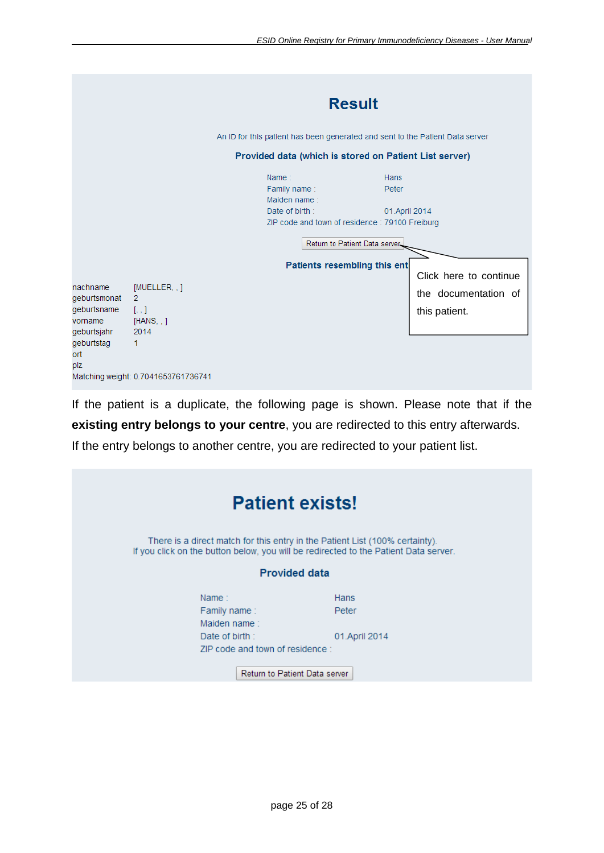|                                                                                               |                                                                                                                                | <b>Result</b><br>An ID for this patient has been generated and sent to the Patient Data server<br>Provided data (which is stored on Patient List server) |                                                                 |  |
|-----------------------------------------------------------------------------------------------|--------------------------------------------------------------------------------------------------------------------------------|----------------------------------------------------------------------------------------------------------------------------------------------------------|-----------------------------------------------------------------|--|
|                                                                                               |                                                                                                                                | Name:<br>Family name:<br>Maiden name:<br>Date of birth:<br>ZIP code and town of residence: 79100 Freiburg<br>Return to Patient Data server.              | Hans<br>Peter<br>01.April 2014                                  |  |
| nachname<br>geburtsmonat<br>geburtsname<br>vorname<br>geburtsjahr<br>geburtstag<br>ort<br>plz | [MULTER, ]<br>$\overline{2}$<br>$\left[ \cdot, \cdot \right]$<br>[HANS, .]<br>2014<br>1<br>Matching weight: 0.7041653761736741 | Patients resembling this enti                                                                                                                            | Click here to continue<br>the documentation of<br>this patient. |  |

If the patient is a duplicate, the following page is shown. Please note that if the **existing entry belongs to your centre**, you are redirected to this entry afterwards. If the entry belongs to another centre, you are redirected to your patient list.

|                                       | <b>Patient exists!</b>                                                                                                                                               |                |  |  |
|---------------------------------------|----------------------------------------------------------------------------------------------------------------------------------------------------------------------|----------------|--|--|
|                                       | There is a direct match for this entry in the Patient List (100% certainty).<br>If you click on the button below, you will be redirected to the Patient Data server. |                |  |  |
|                                       | <b>Provided data</b>                                                                                                                                                 |                |  |  |
| Name:<br>Family name:<br>Maiden name: | Hans<br>Peter                                                                                                                                                        |                |  |  |
| Date of birth:                        | ZIP code and town of residence:<br><b>Return to Patient Data server</b>                                                                                              | 01. April 2014 |  |  |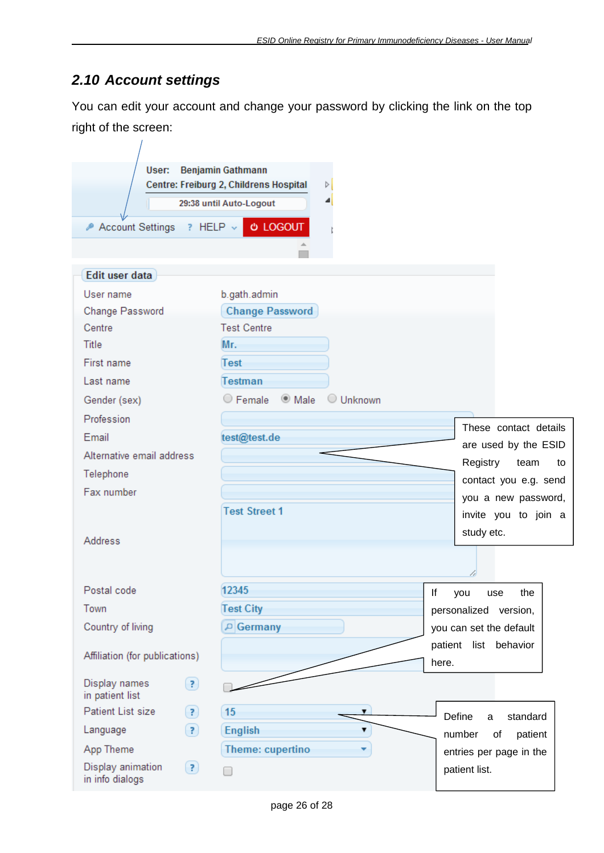# <span id="page-25-0"></span>*2.10 Account settings*

You can edit your account and change your password by clicking the link on the top right of the screen:

| User:                                                     | <b>Benjamin Gathmann</b><br>Centre: Freiburg 2, Childrens Hospital<br>d<br>◢<br>29:38 until Auto-Logout |                         |
|-----------------------------------------------------------|---------------------------------------------------------------------------------------------------------|-------------------------|
| Account Settings                                          | <b>U LOGOUT</b><br>$?$ HELP $\vee$                                                                      |                         |
|                                                           |                                                                                                         |                         |
| Edit user data                                            |                                                                                                         |                         |
| User name                                                 | b.gath.admin                                                                                            |                         |
| Change Password                                           | <b>Change Password</b>                                                                                  |                         |
| Centre                                                    | <b>Test Centre</b>                                                                                      |                         |
| <b>Title</b>                                              | Mr.                                                                                                     |                         |
| First name                                                | Test                                                                                                    |                         |
| Last name                                                 | Testman                                                                                                 |                         |
| Gender (sex)                                              | ◯ Female © Male<br>O Unknown                                                                            |                         |
| Profession                                                |                                                                                                         | These contact details   |
| Email                                                     | test@test.de                                                                                            | are used by the ESID    |
| Alternative email address                                 |                                                                                                         | Registry<br>team<br>to  |
| Telephone                                                 |                                                                                                         | contact you e.g. send   |
| Fax number                                                |                                                                                                         | you a new password,     |
|                                                           | <b>Test Street 1</b>                                                                                    | invite you to join a    |
|                                                           |                                                                                                         | study etc.              |
| Address                                                   |                                                                                                         |                         |
|                                                           |                                                                                                         |                         |
| Postal code                                               | 12345                                                                                                   | lf<br>the<br>you<br>use |
| Town                                                      | <b>Test City</b>                                                                                        | personalized version,   |
| Country of living                                         | $\log$ Germany                                                                                          | you can set the default |
|                                                           |                                                                                                         | patient list behavior   |
| Affiliation (for publications)                            |                                                                                                         | here.                   |
| Display names<br>$\odot$<br>in patient list               |                                                                                                         |                         |
| Patient List size<br>(?)                                  | 15<br>۷.                                                                                                | Define<br>standard<br>a |
| $\left( 3\right)$<br>Language                             | <b>English</b><br>▼                                                                                     | patient<br>number<br>of |
| App Theme                                                 | Theme: cupertino<br>٠                                                                                   | entries per page in the |
| Display animation<br>$\left( 2\right)$<br>in info dialogs |                                                                                                         | patient list.           |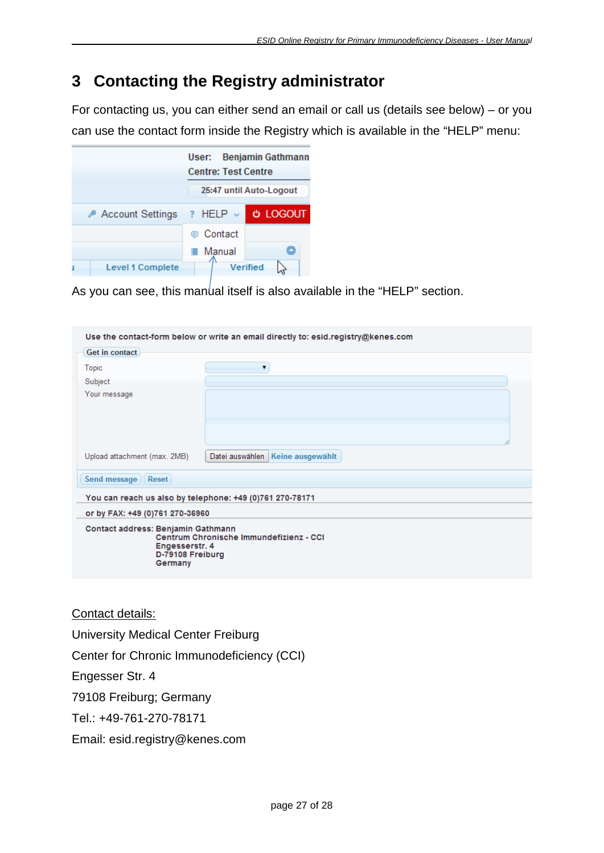# <span id="page-26-0"></span>**3 Contacting the Registry administrator**

For contacting us, you can either send an email or call us (details see below) – or you can use the contact form inside the Registry which is available in the "HELP" menu:

|                  | User: Benjamin Gathmann<br><b>Centre: Test Centre</b> |  |  |
|------------------|-------------------------------------------------------|--|--|
|                  | 25:47 until Auto-Logout                               |  |  |
| Account Settings | <b>U LOGOUT</b><br>$?$ HELP $\vee$                    |  |  |
|                  | ⊜ Contact                                             |  |  |
|                  | Manual<br>٠                                           |  |  |
| Level 1 Complete | Verified                                              |  |  |

As you can see, this manual itself is also available in the "HELP" section.

|                                                                                     | Use the contact-form below or write an email directly to: esid.registry@kenes.com |
|-------------------------------------------------------------------------------------|-----------------------------------------------------------------------------------|
| Get in contact                                                                      |                                                                                   |
| Topic                                                                               | ۷.                                                                                |
| Subject                                                                             |                                                                                   |
| Your message                                                                        |                                                                                   |
| Upload attachment (max. 2MB)                                                        | Datei auswählen<br>Keine ausgewählt                                               |
| Send message<br>Reset                                                               |                                                                                   |
|                                                                                     | You can reach us also by telephone: +49 (0)761 270-78171                          |
| or by FAX: +49 (0)761 270-36960                                                     |                                                                                   |
| Contact address: Benjamin Gathmann<br>Engesserstr. 4<br>D-79108 Freiburg<br>Germany | Centrum Chronische Immundefizienz - CCI                                           |

#### Contact details:

University Medical Center Freiburg Center for Chronic Immunodeficiency (CCI)

Engesser Str. 4

79108 Freiburg; Germany

Tel.: +49-761-270-78171

Email: esid.registry@kenes.com